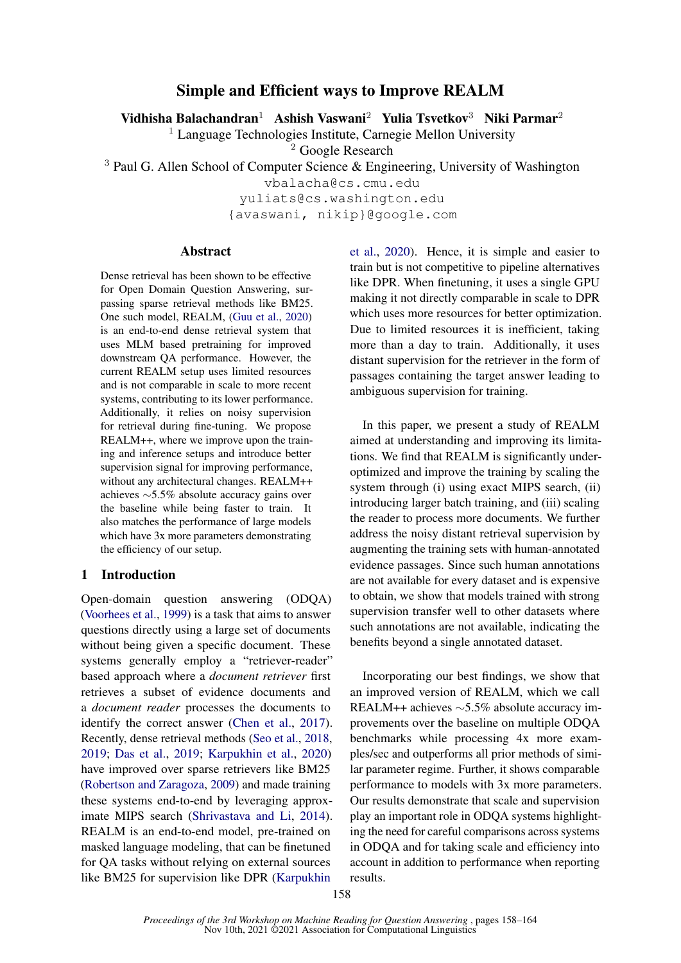# Simple and Efficient ways to Improve REALM

Vidhisha Balachandran<sup>1</sup> Ashish Vaswani<sup>2</sup> Yulia Tsvetkov<sup>3</sup> Niki Parmar<sup>2</sup>

 $<sup>1</sup>$  Language Technologies Institute, Carnegie Mellon University</sup>

<sup>2</sup> Google Research

<sup>3</sup> Paul G. Allen School of Computer Science & Engineering, University of Washington

vbalacha@cs.cmu.edu

yuliats@cs.washington.edu

{avaswani, nikip}@google.com

## **Abstract**

Dense retrieval has been shown to be effective for Open Domain Question Answering, surpassing sparse retrieval methods like BM25. One such model, REALM, [\(Guu et al.,](#page-4-0) [2020\)](#page-4-0) is an end-to-end dense retrieval system that uses MLM based pretraining for improved downstream QA performance. However, the current REALM setup uses limited resources and is not comparable in scale to more recent systems, contributing to its lower performance. Additionally, it relies on noisy supervision for retrieval during fine-tuning. We propose REALM++, where we improve upon the training and inference setups and introduce better supervision signal for improving performance, without any architectural changes. REALM++ achieves ∼5.5% absolute accuracy gains over the baseline while being faster to train. It also matches the performance of large models which have 3x more parameters demonstrating the efficiency of our setup.

## 1 Introduction

Open-domain question answering (ODQA) [\(Voorhees et al.,](#page-4-1) [1999\)](#page-4-1) is a task that aims to answer questions directly using a large set of documents without being given a specific document. These systems generally employ a "retriever-reader" based approach where a *document retriever* first retrieves a subset of evidence documents and a *document reader* processes the documents to identify the correct answer [\(Chen et al.,](#page-4-2) [2017\)](#page-4-2). Recently, dense retrieval methods [\(Seo et al.,](#page-4-3) [2018,](#page-4-3) [2019;](#page-4-4) [Das et al.,](#page-4-5) [2019;](#page-4-5) [Karpukhin et al.,](#page-4-6) [2020\)](#page-4-6) have improved over sparse retrievers like BM25 [\(Robertson and Zaragoza,](#page-4-7) [2009\)](#page-4-7) and made training these systems end-to-end by leveraging approximate MIPS search [\(Shrivastava and Li,](#page-4-8) [2014\)](#page-4-8). REALM is an end-to-end model, pre-trained on masked language modeling, that can be finetuned for QA tasks without relying on external sources like BM25 for supervision like DPR [\(Karpukhin](#page-4-6)

[et al.,](#page-4-6) [2020\)](#page-4-6). Hence, it is simple and easier to train but is not competitive to pipeline alternatives like DPR. When finetuning, it uses a single GPU making it not directly comparable in scale to DPR which uses more resources for better optimization. Due to limited resources it is inefficient, taking more than a day to train. Additionally, it uses distant supervision for the retriever in the form of passages containing the target answer leading to ambiguous supervision for training.

In this paper, we present a study of REALM aimed at understanding and improving its limitations. We find that REALM is significantly underoptimized and improve the training by scaling the system through (i) using exact MIPS search, (ii) introducing larger batch training, and (iii) scaling the reader to process more documents. We further address the noisy distant retrieval supervision by augmenting the training sets with human-annotated evidence passages. Since such human annotations are not available for every dataset and is expensive to obtain, we show that models trained with strong supervision transfer well to other datasets where such annotations are not available, indicating the benefits beyond a single annotated dataset.

Incorporating our best findings, we show that an improved version of REALM, which we call REALM++ achieves ∼5.5% absolute accuracy improvements over the baseline on multiple ODQA benchmarks while processing 4x more examples/sec and outperforms all prior methods of similar parameter regime. Further, it shows comparable performance to models with 3x more parameters. Our results demonstrate that scale and supervision play an important role in ODQA systems highlighting the need for careful comparisons across systems in ODQA and for taking scale and efficiency into account in addition to performance when reporting results.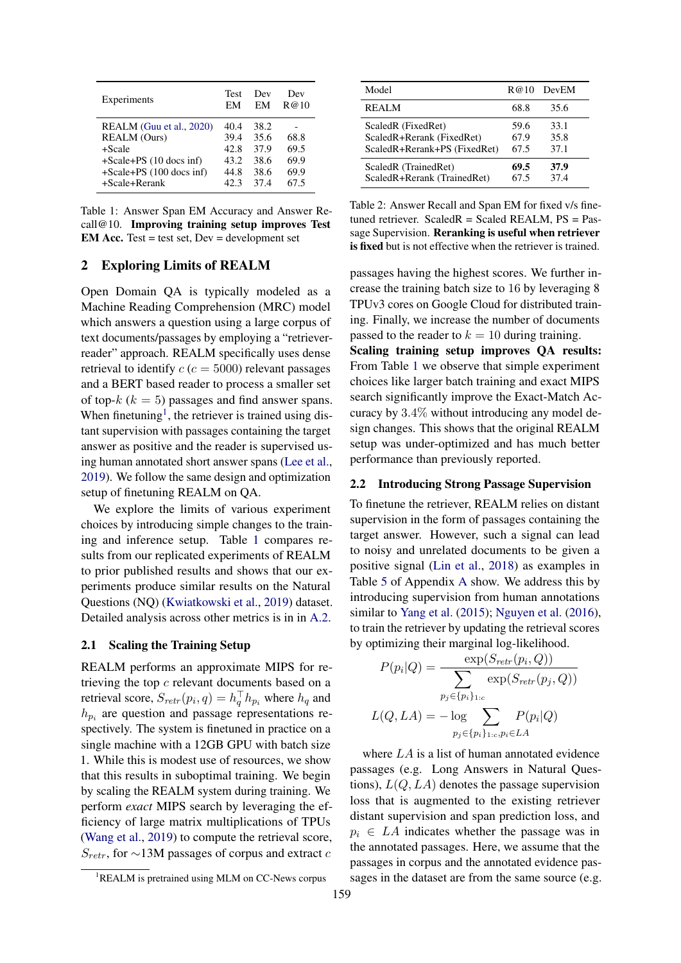<span id="page-1-1"></span>

| Experiments                                                                                                                            | <b>Test</b>                                  | Dev                                          | Dev                                  |
|----------------------------------------------------------------------------------------------------------------------------------------|----------------------------------------------|----------------------------------------------|--------------------------------------|
|                                                                                                                                        | FМ                                           | EM                                           | R@10                                 |
| REALM (Guu et al., 2020)<br><b>REALM</b> (Ours)<br>$+Scale$<br>$+Scale+PS$ (10 docs inf)<br>+Scale+PS (100 docs inf)<br>$+Scale+Rernk$ | 40.4<br>39.4<br>42.8<br>43.2<br>44.8<br>42.3 | 38.2<br>35.6<br>37.9<br>38.6<br>38.6<br>37.4 | 68.8<br>69.5<br>69.9<br>69.9<br>67.5 |

Table 1: Answer Span EM Accuracy and Answer Recall@10. Improving training setup improves Test **EM Acc.** Test = test set,  $Dev = development set$ 

## 2 Exploring Limits of REALM

Open Domain QA is typically modeled as a Machine Reading Comprehension (MRC) model which answers a question using a large corpus of text documents/passages by employing a "retrieverreader" approach. REALM specifically uses dense retrieval to identify  $c$  ( $c = 5000$ ) relevant passages and a BERT based reader to process a smaller set of top- $k$  ( $k = 5$ ) passages and find answer spans. When finetuning<sup>[1](#page-1-0)</sup>, the retriever is trained using distant supervision with passages containing the target answer as positive and the reader is supervised using human annotated short answer spans [\(Lee et al.,](#page-4-9) [2019\)](#page-4-9). We follow the same design and optimization setup of finetuning REALM on QA.

We explore the limits of various experiment choices by introducing simple changes to the training and inference setup. Table [1](#page-1-1) compares results from our replicated experiments of REALM to prior published results and shows that our experiments produce similar results on the Natural Questions (NQ) [\(Kwiatkowski et al.,](#page-4-10) [2019\)](#page-4-10) dataset. Detailed analysis across other metrics is in in [A.2.](#page-5-0)

## <span id="page-1-3"></span>2.1 Scaling the Training Setup

REALM performs an approximate MIPS for retrieving the top c relevant documents based on a retrieval score,  $S_{retr}(p_i, q) = h_q^{\top} h_{p_i}$  where  $h_q$  and  $h_{p_i}$  are question and passage representations respectively. The system is finetuned in practice on a single machine with a 12GB GPU with batch size 1. While this is modest use of resources, we show that this results in suboptimal training. We begin by scaling the REALM system during training. We perform *exact* MIPS search by leveraging the efficiency of large matrix multiplications of TPUs [\(Wang et al.,](#page-4-11) [2019\)](#page-4-11) to compute the retrieval score,  $S_{retr}$ , for ∼13M passages of corpus and extract c

<span id="page-1-2"></span>

| Model                        | R@10 | DevEM |
|------------------------------|------|-------|
| <b>REALM</b>                 | 68.8 | 35.6  |
| ScaledR (FixedRet)           | 59.6 | 33.1  |
| ScaledR+Rerank (FixedRet)    | 67.9 | 35.8  |
| ScaledR+Rerank+PS (FixedRet) | 67.5 | 37.1  |
| ScaledR (TrainedRet)         | 69.5 | 37.9  |
| ScaledR+Rerank (TrainedRet)  | 67.5 | 374   |

Table 2: Answer Recall and Span EM for fixed v/s finetuned retriever. Scaled $R =$  Scaled REALM,  $PS =$  Passage Supervision. Reranking is useful when retriever is fixed but is not effective when the retriever is trained.

passages having the highest scores. We further increase the training batch size to 16 by leveraging 8 TPUv3 cores on Google Cloud for distributed training. Finally, we increase the number of documents passed to the reader to  $k = 10$  during training.

Scaling training setup improves QA results: From Table [1](#page-1-1) we observe that simple experiment choices like larger batch training and exact MIPS search significantly improve the Exact-Match Accuracy by 3.4% without introducing any model design changes. This shows that the original REALM setup was under-optimized and has much better performance than previously reported.

## <span id="page-1-4"></span>2.2 Introducing Strong Passage Supervision

To finetune the retriever, REALM relies on distant supervision in the form of passages containing the target answer. However, such a signal can lead to noisy and unrelated documents to be given a positive signal [\(Lin et al.,](#page-4-12) [2018\)](#page-4-12) as examples in Table [5](#page-6-0) of Appendix [A](#page-5-1) show. We address this by introducing supervision from human annotations similar to [Yang et al.](#page-4-13) [\(2015\)](#page-4-13); [Nguyen et al.](#page-4-14) [\(2016\)](#page-4-14), to train the retriever by updating the retrieval scores by optimizing their marginal log-likelihood.

$$
P(p_i|Q) = \frac{\exp(S_{retr}(p_i, Q))}{\sum_{p_j \in \{p_i\}_{1:c}} \exp(S_{retr}(p_j, Q))}
$$

$$
L(Q, LA) = -\log \sum_{p_j \in \{p_i\}_{1:c}, p_i \in LA} P(p_i|Q)
$$

where LA is a list of human annotated evidence passages (e.g. Long Answers in Natural Questions),  $L(Q, LA)$  denotes the passage supervision loss that is augmented to the existing retriever distant supervision and span prediction loss, and  $p_i \in LA$  indicates whether the passage was in the annotated passages. Here, we assume that the passages in corpus and the annotated evidence passages in the dataset are from the same source (e.g.

<span id="page-1-0"></span><sup>&</sup>lt;sup>1</sup>REALM is pretrained using MLM on CC-News corpus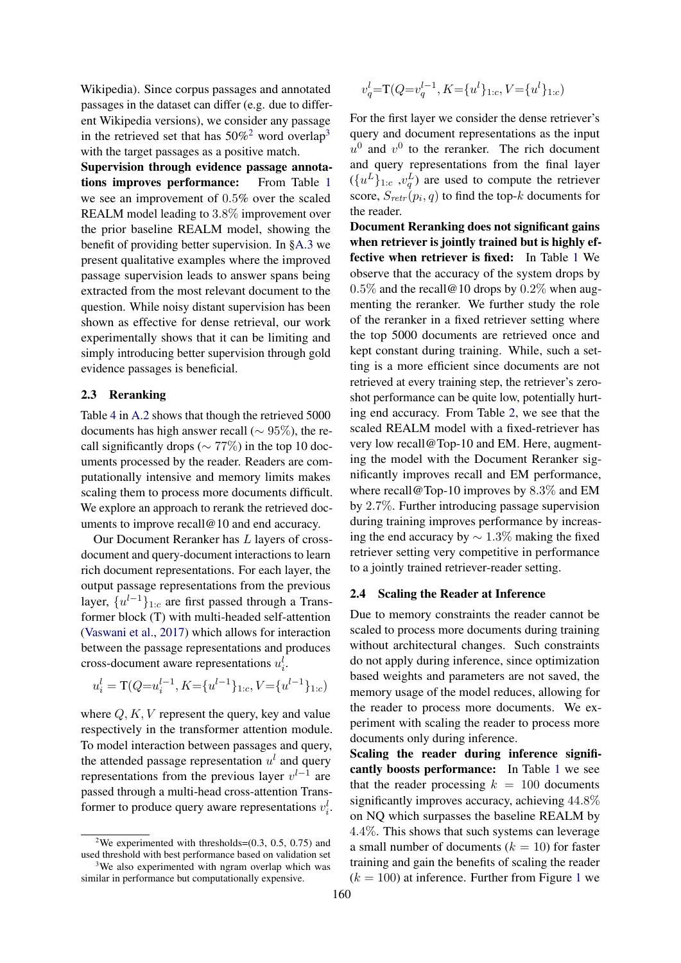Wikipedia). Since corpus passages and annotated passages in the dataset can differ (e.g. due to different Wikipedia versions), we consider any passage in the retrieved set that has  $50\%^2$  $50\%^2$  word overlap<sup>[3](#page-2-1)</sup> with the target passages as a positive match.

Supervision through evidence passage annotations improves performance: From Table [1](#page-1-1) we see an improvement of 0.5% over the scaled REALM model leading to 3.8% improvement over the prior baseline REALM model, showing the benefit of providing better supervision. In [§A.3](#page-5-2) we present qualitative examples where the improved passage supervision leads to answer spans being extracted from the most relevant document to the question. While noisy distant supervision has been shown as effective for dense retrieval, our work experimentally shows that it can be limiting and simply introducing better supervision through gold evidence passages is beneficial.

### 2.3 Reranking

Table [4](#page-5-3) in [A.2](#page-5-0) shows that though the retrieved 5000 documents has high answer recall ( $\sim$  95%), the recall significantly drops ( $\sim$  77%) in the top 10 documents processed by the reader. Readers are computationally intensive and memory limits makes scaling them to process more documents difficult. We explore an approach to rerank the retrieved documents to improve recall@10 and end accuracy.

Our Document Reranker has L layers of crossdocument and query-document interactions to learn rich document representations. For each layer, the output passage representations from the previous layer,  $\{u^{l-1}\}_{1:c}$  are first passed through a Transformer block (T) with multi-headed self-attention [\(Vaswani et al.,](#page-4-15) [2017\)](#page-4-15) which allows for interaction between the passage representations and produces cross-document aware representations  $u_i^l$ .

$$
u_i^l = \mathcal{T}(Q = u_i^{l-1}, K = \{u^{l-1}\}_{1:c}, V = \{u^{l-1}\}_{1:c})
$$

where  $Q, K, V$  represent the query, key and value respectively in the transformer attention module. To model interaction between passages and query, the attended passage representation  $u<sup>l</sup>$  and query representations from the previous layer  $v^{l-1}$  are passed through a multi-head cross-attention Transformer to produce query aware representations  $v_i^l$ .

<span id="page-2-1"></span>similar in performance but computationally expensive.

$$
v_q^l
$$
=T( $Q=v_q^{l-1}$ ,  $K$ = $\{u^l\}_{1:c}$ ,  $V$ = $\{u^l\}_{1:c}$ )

For the first layer we consider the dense retriever's query and document representations as the input  $u^0$  and  $v^0$  to the reranker. The rich document and query representations from the final layer  $({u<sup>L</sup>}_{1:c}, v<sub>q</sub><sup>L</sup>)$  are used to compute the retriever score,  $S_{retr}(p_i, q)$  to find the top-k documents for the reader.

Document Reranking does not significant gains when retriever is jointly trained but is highly effective when retriever is fixed: In Table [1](#page-1-1) We observe that the accuracy of the system drops by  $0.5\%$  and the recall@10 drops by  $0.2\%$  when augmenting the reranker. We further study the role of the reranker in a fixed retriever setting where the top 5000 documents are retrieved once and kept constant during training. While, such a setting is a more efficient since documents are not retrieved at every training step, the retriever's zeroshot performance can be quite low, potentially hurting end accuracy. From Table [2,](#page-1-2) we see that the scaled REALM model with a fixed-retriever has very low recall@Top-10 and EM. Here, augmenting the model with the Document Reranker significantly improves recall and EM performance, where recall@Top-10 improves by 8.3\% and EM by 2.7%. Further introducing passage supervision during training improves performance by increasing the end accuracy by  $\sim 1.3\%$  making the fixed retriever setting very competitive in performance to a jointly trained retriever-reader setting.

#### <span id="page-2-2"></span>2.4 Scaling the Reader at Inference

Due to memory constraints the reader cannot be scaled to process more documents during training without architectural changes. Such constraints do not apply during inference, since optimization based weights and parameters are not saved, the memory usage of the model reduces, allowing for the reader to process more documents. We experiment with scaling the reader to process more documents only during inference.

Scaling the reader during inference significantly boosts performance: In Table [1](#page-1-1) we see that the reader processing  $k = 100$  documents significantly improves accuracy, achieving 44.8% on NQ which surpasses the baseline REALM by 4.4%. This shows that such systems can leverage a small number of documents  $(k = 10)$  for faster training and gain the benefits of scaling the reader  $(k = 100)$  $(k = 100)$  $(k = 100)$  at inference. Further from Figure 1 we

<span id="page-2-0"></span><sup>&</sup>lt;sup>2</sup>We experimented with thresholds= $(0.3, 0.5, 0.75)$  and used threshold with best performance based on validation set We also experimented with ngram overlap which was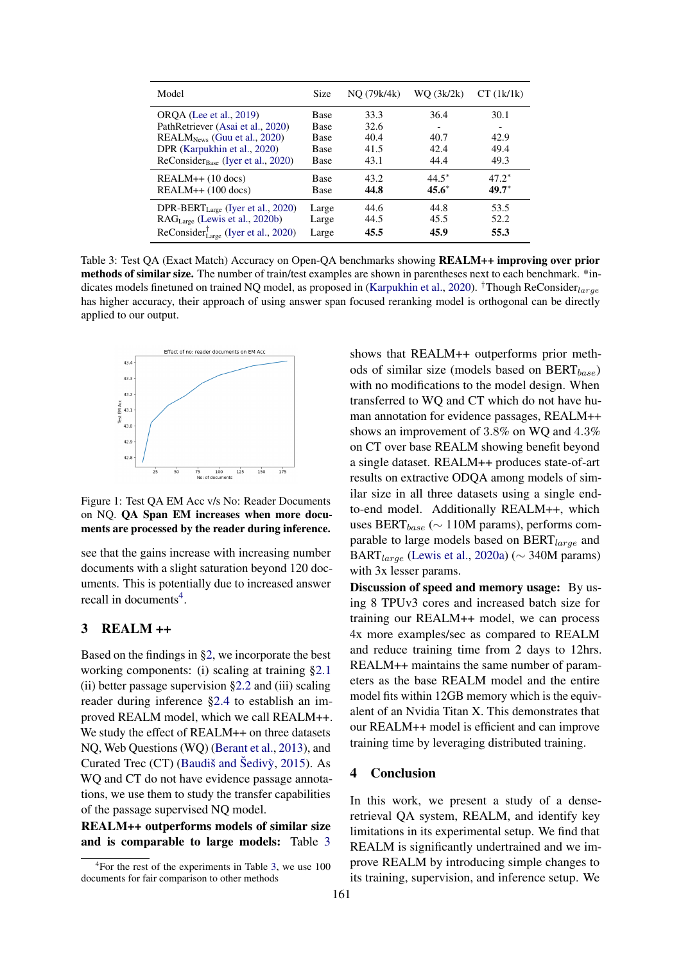<span id="page-3-2"></span>

| Model                                                                                                                                                                            | Size                                                      | NQ (79k/4k)                          | WO (3k/2k)                   | $CT$ (1 $k$ /1 $k$ )         |
|----------------------------------------------------------------------------------------------------------------------------------------------------------------------------------|-----------------------------------------------------------|--------------------------------------|------------------------------|------------------------------|
| ORQA (Lee et al., 2019)<br>PathRetriever (Asai et al., 2020)<br>$REALMNews$ (Guu et al., 2020)<br>DPR (Karpukhin et al., 2020)<br>ReConsider <sub>Base</sub> (Iyer et al., 2020) | Base<br>Base<br><b>Base</b><br><b>Base</b><br><b>Base</b> | 33.3<br>32.6<br>40.4<br>41.5<br>43.1 | 36.4<br>40.7<br>42.4<br>44.4 | 30.1<br>42.9<br>49.4<br>49.3 |
| $REALM++ (10$ docs)                                                                                                                                                              | <b>Base</b>                                               | 43.2                                 | $44.5*$                      | $47.2^*$                     |
| $REALM++ (100$ docs)                                                                                                                                                             | <b>Base</b>                                               | 44.8                                 | $45.6*$                      | $49.7*$                      |
| DPR-BERT $_{\text{Large}}$ (Iyer et al., 2020)                                                                                                                                   | Large                                                     | 44.6                                 | 44.8                         | 53.5                         |
| RAG <sub>Large</sub> (Lewis et al., 2020b)                                                                                                                                       | Large                                                     | 44.5                                 | 45.5                         | 52.2                         |
| ReConsider $_{\text{Large}}^{\dagger}$ (Iyer et al., 2020)                                                                                                                       | Large                                                     | 45.5                                 | 45.9                         | 55.3                         |

Table 3: Test QA (Exact Match) Accuracy on Open-QA benchmarks showing REALM++ improving over prior methods of similar size. The number of train/test examples are shown in parentheses next to each benchmark. \*in-dicates models finetuned on trained NQ model, as proposed in [\(Karpukhin et al.,](#page-4-6) [2020\)](#page-4-6). †Though ReConsider<sub>large</sub> has higher accuracy, their approach of using answer span focused reranking model is orthogonal can be directly applied to our output.

<span id="page-3-0"></span>

Figure 1: Test QA EM Acc v/s No: Reader Documents on NQ. QA Span EM increases when more documents are processed by the reader during inference.

see that the gains increase with increasing number documents with a slight saturation beyond 120 documents. This is potentially due to increased answer recall in documents<sup>[4](#page-3-1)</sup>.

## 3 REALM ++

Based on the findings in [§2,](#page-1-1) we incorporate the best working components: (i) scaling at training [§2.1](#page-1-3) (ii) better passage supervision [§2.2](#page-1-4) and (iii) scaling reader during inference [§2.4](#page-2-2) to establish an improved REALM model, which we call REALM++. We study the effect of REALM++ on three datasets NQ, Web Questions (WQ) [\(Berant et al.,](#page-4-19) [2013\)](#page-4-19), and Curated Trec (CT) (Baudiš and Šedivỳ, [2015\)](#page-4-20). As WQ and CT do not have evidence passage annotations, we use them to study the transfer capabilities of the passage supervised NQ model.

REALM++ outperforms models of similar size and is comparable to large models: Table [3](#page-3-2) shows that REALM++ outperforms prior methods of similar size (models based on  $BERT_{base}$ ) with no modifications to the model design. When transferred to WQ and CT which do not have human annotation for evidence passages, REALM++ shows an improvement of 3.8% on WQ and 4.3% on CT over base REALM showing benefit beyond a single dataset. REALM++ produces state-of-art results on extractive ODQA among models of similar size in all three datasets using a single endto-end model. Additionally REALM++, which uses BERT $_{base}$  ( $\sim$  110M params), performs comparable to large models based on  $BERT_{large}$  and BART<sub>large</sub> [\(Lewis et al.,](#page-4-21) [2020a\)](#page-4-21) ( $\sim$  340M params) with 3x lesser params.

Discussion of speed and memory usage: By using 8 TPUv3 cores and increased batch size for training our REALM++ model, we can process 4x more examples/sec as compared to REALM and reduce training time from 2 days to 12hrs. REALM++ maintains the same number of parameters as the base REALM model and the entire model fits within 12GB memory which is the equivalent of an Nvidia Titan X. This demonstrates that our REALM++ model is efficient and can improve training time by leveraging distributed training.

### 4 Conclusion

In this work, we present a study of a denseretrieval QA system, REALM, and identify key limitations in its experimental setup. We find that REALM is significantly undertrained and we improve REALM by introducing simple changes to its training, supervision, and inference setup. We

<span id="page-3-1"></span><sup>4</sup> For the rest of the experiments in Table [3,](#page-3-2) we use 100 documents for fair comparison to other methods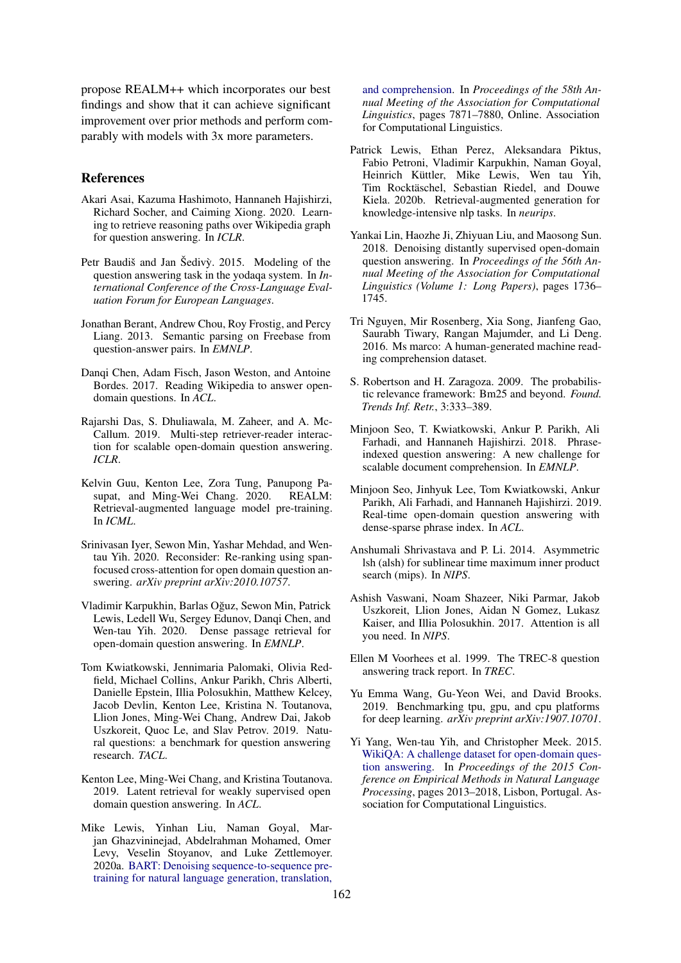propose REALM++ which incorporates our best findings and show that it can achieve significant improvement over prior methods and perform comparably with models with 3x more parameters.

### References

- <span id="page-4-16"></span>Akari Asai, Kazuma Hashimoto, Hannaneh Hajishirzi, Richard Socher, and Caiming Xiong. 2020. Learning to retrieve reasoning paths over Wikipedia graph for question answering. In *ICLR*.
- <span id="page-4-20"></span>Petr Baudiš and Jan Šedivỳ. 2015. Modeling of the question answering task in the yodaqa system. In *International Conference of the Cross-Language Evaluation Forum for European Languages*.
- <span id="page-4-19"></span>Jonathan Berant, Andrew Chou, Roy Frostig, and Percy Liang. 2013. Semantic parsing on Freebase from question-answer pairs. In *EMNLP*.
- <span id="page-4-2"></span>Danqi Chen, Adam Fisch, Jason Weston, and Antoine Bordes. 2017. Reading Wikipedia to answer opendomain questions. In *ACL*.
- <span id="page-4-5"></span>Rajarshi Das, S. Dhuliawala, M. Zaheer, and A. Mc-Callum. 2019. Multi-step retriever-reader interaction for scalable open-domain question answering. *ICLR*.
- <span id="page-4-0"></span>Kelvin Guu, Kenton Lee, Zora Tung, Panupong Pasupat. and Ming-Wei Chang. 2020. REALM: supat, and Ming-Wei Chang. 2020. Retrieval-augmented language model pre-training. In *ICML*.
- <span id="page-4-17"></span>Srinivasan Iyer, Sewon Min, Yashar Mehdad, and Wentau Yih. 2020. Reconsider: Re-ranking using spanfocused cross-attention for open domain question answering. *arXiv preprint arXiv:2010.10757*.
- <span id="page-4-6"></span>Vladimir Karpukhin, Barlas Oguz, Sewon Min, Patrick ˘ Lewis, Ledell Wu, Sergey Edunov, Danqi Chen, and Wen-tau Yih. 2020. Dense passage retrieval for open-domain question answering. In *EMNLP*.
- <span id="page-4-10"></span>Tom Kwiatkowski, Jennimaria Palomaki, Olivia Redfield, Michael Collins, Ankur Parikh, Chris Alberti, Danielle Epstein, Illia Polosukhin, Matthew Kelcey, Jacob Devlin, Kenton Lee, Kristina N. Toutanova, Llion Jones, Ming-Wei Chang, Andrew Dai, Jakob Uszkoreit, Quoc Le, and Slav Petrov. 2019. Natural questions: a benchmark for question answering research. *TACL*.
- <span id="page-4-9"></span>Kenton Lee, Ming-Wei Chang, and Kristina Toutanova. 2019. Latent retrieval for weakly supervised open domain question answering. In *ACL*.
- <span id="page-4-21"></span>Mike Lewis, Yinhan Liu, Naman Goyal, Marjan Ghazvininejad, Abdelrahman Mohamed, Omer Levy, Veselin Stoyanov, and Luke Zettlemoyer. 2020a. [BART: Denoising sequence-to-sequence pre](https://doi.org/10.18653/v1/2020.acl-main.703)[training for natural language generation, translation,](https://doi.org/10.18653/v1/2020.acl-main.703)

[and comprehension.](https://doi.org/10.18653/v1/2020.acl-main.703) In *Proceedings of the 58th Annual Meeting of the Association for Computational Linguistics*, pages 7871–7880, Online. Association for Computational Linguistics.

- <span id="page-4-18"></span>Patrick Lewis, Ethan Perez, Aleksandara Piktus, Fabio Petroni, Vladimir Karpukhin, Naman Goyal, Heinrich Küttler, Mike Lewis, Wen tau Yih, Tim Rocktäschel, Sebastian Riedel, and Douwe Kiela. 2020b. Retrieval-augmented generation for knowledge-intensive nlp tasks. In *neurips*.
- <span id="page-4-12"></span>Yankai Lin, Haozhe Ji, Zhiyuan Liu, and Maosong Sun. 2018. Denoising distantly supervised open-domain question answering. In *Proceedings of the 56th Annual Meeting of the Association for Computational Linguistics (Volume 1: Long Papers)*, pages 1736– 1745.
- <span id="page-4-14"></span>Tri Nguyen, Mir Rosenberg, Xia Song, Jianfeng Gao, Saurabh Tiwary, Rangan Majumder, and Li Deng. 2016. Ms marco: A human-generated machine reading comprehension dataset.
- <span id="page-4-7"></span>S. Robertson and H. Zaragoza. 2009. The probabilistic relevance framework: Bm25 and beyond. *Found. Trends Inf. Retr.*, 3:333–389.
- <span id="page-4-3"></span>Minjoon Seo, T. Kwiatkowski, Ankur P. Parikh, Ali Farhadi, and Hannaneh Hajishirzi. 2018. Phraseindexed question answering: A new challenge for scalable document comprehension. In *EMNLP*.
- <span id="page-4-4"></span>Minjoon Seo, Jinhyuk Lee, Tom Kwiatkowski, Ankur Parikh, Ali Farhadi, and Hannaneh Hajishirzi. 2019. Real-time open-domain question answering with dense-sparse phrase index. In *ACL*.
- <span id="page-4-8"></span>Anshumali Shrivastava and P. Li. 2014. Asymmetric lsh (alsh) for sublinear time maximum inner product search (mips). In *NIPS*.
- <span id="page-4-15"></span>Ashish Vaswani, Noam Shazeer, Niki Parmar, Jakob Uszkoreit, Llion Jones, Aidan N Gomez, Lukasz Kaiser, and Illia Polosukhin. 2017. Attention is all you need. In *NIPS*.
- <span id="page-4-1"></span>Ellen M Voorhees et al. 1999. The TREC-8 question answering track report. In *TREC*.
- <span id="page-4-11"></span>Yu Emma Wang, Gu-Yeon Wei, and David Brooks. 2019. Benchmarking tpu, gpu, and cpu platforms for deep learning. *arXiv preprint arXiv:1907.10701*.
- <span id="page-4-13"></span>Yi Yang, Wen-tau Yih, and Christopher Meek. 2015. [WikiQA: A challenge dataset for open-domain ques](https://doi.org/10.18653/v1/D15-1237)[tion answering.](https://doi.org/10.18653/v1/D15-1237) In *Proceedings of the 2015 Conference on Empirical Methods in Natural Language Processing*, pages 2013–2018, Lisbon, Portugal. Association for Computational Linguistics.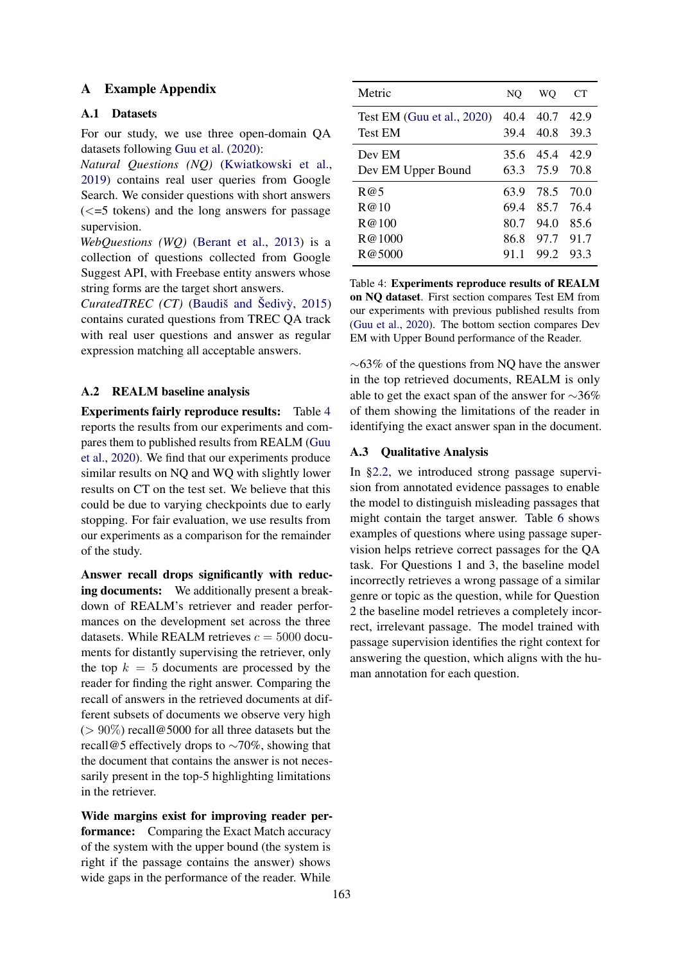## <span id="page-5-1"></span>A Example Appendix

## A.1 Datasets

For our study, we use three open-domain QA datasets following [Guu et al.](#page-4-0) [\(2020\)](#page-4-0):

*Natural Questions (NQ)* [\(Kwiatkowski et al.,](#page-4-10) [2019\)](#page-4-10) contains real user queries from Google Search. We consider questions with short answers  $\left(<=5 \text{ tokens}\right)$  and the long answers for passage supervision.

*WebQuestions (WQ)* [\(Berant et al.,](#page-4-19) [2013\)](#page-4-19) is a collection of questions collected from Google Suggest API, with Freebase entity answers whose string forms are the target short answers.

*CuratedTREC (CT)* (Baudiš and Šedivỳ, [2015\)](#page-4-20) contains curated questions from TREC QA track with real user questions and answer as regular expression matching all acceptable answers.

### <span id="page-5-0"></span>A.2 REALM baseline analysis

Experiments fairly reproduce results: Table [4](#page-5-3) reports the results from our experiments and compares them to published results from REALM [\(Guu](#page-4-0) [et al.,](#page-4-0) [2020\)](#page-4-0). We find that our experiments produce similar results on NQ and WQ with slightly lower results on CT on the test set. We believe that this could be due to varying checkpoints due to early stopping. For fair evaluation, we use results from our experiments as a comparison for the remainder of the study.

Answer recall drops significantly with reducing documents: We additionally present a breakdown of REALM's retriever and reader performances on the development set across the three datasets. While REALM retrieves  $c = 5000$  documents for distantly supervising the retriever, only the top  $k = 5$  documents are processed by the reader for finding the right answer. Comparing the recall of answers in the retrieved documents at different subsets of documents we observe very high ( $> 90\%$ ) recall@5000 for all three datasets but the recall@5 effectively drops to ∼70%, showing that the document that contains the answer is not necessarily present in the top-5 highlighting limitations in the retriever.

Wide margins exist for improving reader performance: Comparing the Exact Match accuracy of the system with the upper bound (the system is right if the passage contains the answer) shows wide gaps in the performance of the reader. While

<span id="page-5-3"></span>

| Metric                        | NO   | WO   | CТ   |
|-------------------------------|------|------|------|
| Test EM (Guu et al., $2020$ ) | 40.4 | 40.7 | 42.9 |
| <b>Test EM</b>                | 39.4 | 40.8 | 39.3 |
| Dev EM                        | 35.6 | 45.4 | 42.9 |
| Dev EM Upper Bound            | 63.3 | 75.9 | 70.8 |
| R@5                           | 63.9 | 78.5 | 70.0 |
| R@10                          | 69.4 | 85.7 | 76.4 |
| R@100                         | 80.7 | 94.0 | 85.6 |
| R@1000                        | 86.8 | 97.7 | 91.7 |
| R@5000                        | 91.1 | 99.2 | 93.3 |

Table 4: Experiments reproduce results of REALM on NQ dataset. First section compares Test EM from our experiments with previous published results from [\(Guu et al.,](#page-4-0) [2020\)](#page-4-0). The bottom section compares Dev EM with Upper Bound performance of the Reader.

∼63% of the questions from NQ have the answer in the top retrieved documents, REALM is only able to get the exact span of the answer for ∼36% of them showing the limitations of the reader in identifying the exact answer span in the document.

### <span id="page-5-2"></span>A.3 Qualitative Analysis

In [§2.2,](#page-1-4) we introduced strong passage supervision from annotated evidence passages to enable the model to distinguish misleading passages that might contain the target answer. Table [6](#page-6-1) shows examples of questions where using passage supervision helps retrieve correct passages for the QA task. For Questions 1 and 3, the baseline model incorrectly retrieves a wrong passage of a similar genre or topic as the question, while for Question 2 the baseline model retrieves a completely incorrect, irrelevant passage. The model trained with passage supervision identifies the right context for answering the question, which aligns with the human annotation for each question.